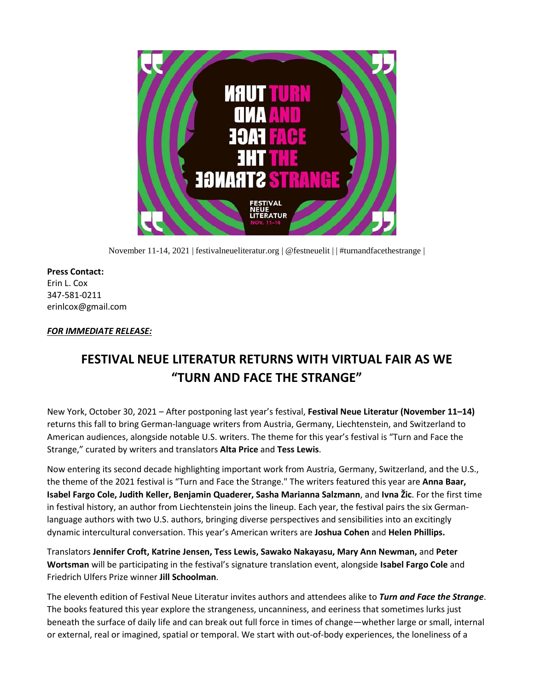

November 11-14, 2021 | festivalneueliteratur.org | @festneuelit | | #turnandfacethestrange |

**Press Contact:** Erin L. Cox 347-581-0211 erinlcox@gmail.com

## *FOR IMMEDIATE RELEASE:*

# **FESTIVAL NEUE LITERATUR RETURNS WITH VIRTUAL FAIR AS WE "TURN AND FACE THE STRANGE"**

New York, October 30, 2021 – After postponing last year's festival, **Festival Neue Literatur (November 11–14)**  returns this fall to bring German-language writers from Austria, Germany, Liechtenstein, and Switzerland to American audiences, alongside notable U.S. writers. The theme for this year's festival is "Turn and Face the Strange," curated by writers and translators **Alta Price** and **Tess Lewis**.

Now entering its second decade highlighting important work from Austria, Germany, Switzerland, and the U.S., the theme of the 2021 festival is "Turn and Face the Strange." The writers featured this year are **Anna Baar, Isabel Fargo Cole, Judith Keller, Benjamin Quaderer, Sasha Marianna Salzmann**, and **Ivna Žic**. For the first time in festival history, an author from Liechtenstein joins the lineup. Each year, the festival pairs the six Germanlanguage authors with two U.S. authors, bringing diverse perspectives and sensibilities into an excitingly dynamic intercultural conversation. This year's American writers are **Joshua Cohen** and **Helen Phillips.**

Translators **Jennifer Croft, Katrine Jensen, Tess Lewis, Sawako Nakayasu, Mary Ann Newman,** and **Peter Wortsman** will be participating in the festival's signature translation event, alongside **Isabel Fargo Cole** and Friedrich Ulfers Prize winner **Jill Schoolman**.

The eleventh edition of Festival Neue Literatur invites authors and attendees alike to *Turn and Face the Strange*. The books featured this year explore the strangeness, uncanniness, and eeriness that sometimes lurks just beneath the surface of daily life and can break out full force in times of change—whether large or small, internal or external, real or imagined, spatial or temporal. We start with out-of-body experiences, the loneliness of a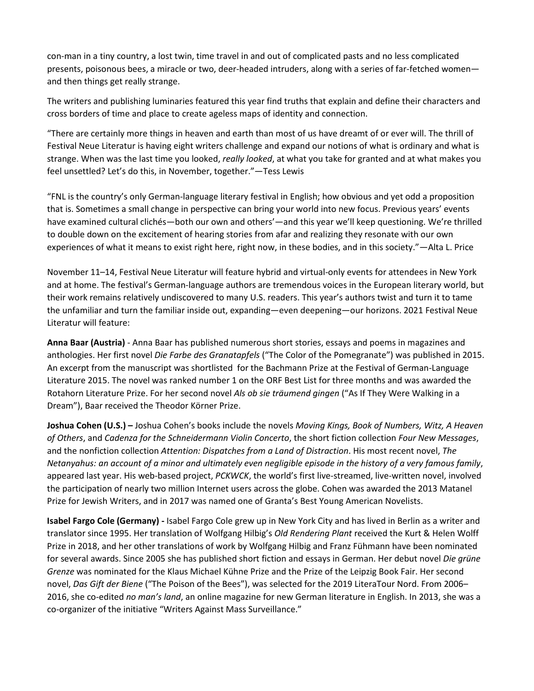con-man in a tiny country, a lost twin, time travel in and out of complicated pasts and no less complicated presents, poisonous bees, a miracle or two, deer-headed intruders, along with a series of far-fetched women and then things get really strange.

The writers and publishing luminaries featured this year find truths that explain and define their characters and cross borders of time and place to create ageless maps of identity and connection.

"There are certainly more things in heaven and earth than most of us have dreamt of or ever will. The thrill of Festival Neue Literatur is having eight writers challenge and expand our notions of what is ordinary and what is strange. When was the last time you looked, *really looked*, at what you take for granted and at what makes you feel unsettled? Let's do this, in November, together."—Tess Lewis

"FNL is the country's only German-language literary festival in English; how obvious and yet odd a proposition that is. Sometimes a small change in perspective can bring your world into new focus. Previous years' events have examined cultural clichés—both our own and others'—and this year we'll keep questioning. We're thrilled to double down on the excitement of hearing stories from afar and realizing they resonate with our own experiences of what it means to exist right here, right now, in these bodies, and in this society."—Alta L. Price

November 11–14, Festival Neue Literatur will feature hybrid and virtual-only events for attendees in New York and at home. The festival's German-language authors are tremendous voices in the European literary world, but their work remains relatively undiscovered to many U.S. readers. This year's authors twist and turn it to tame the unfamiliar and turn the familiar inside out, expanding—even deepening—our horizons. 2021 Festival Neue Literatur will feature:

**Anna Baar (Austria)** - Anna Baar has published numerous short stories, essays and poems in magazines and anthologies. Her first novel *Die Farbe des Granatapfels* ("The Color of the Pomegranate") was published in 2015. An excerpt from the manuscript was shortlisted for the Bachmann Prize at the Festival of German-Language Literature 2015. The novel was ranked number 1 on the ORF Best List for three months and was awarded the Rotahorn Literature Prize. For her second novel *Als ob sie träumend gingen* ("As If They Were Walking in a Dream"), Baar received the Theodor Körner Prize.

**Joshua Cohen (U.S.) –** Joshua Cohen's books include the novels *Moving Kings, Book of Numbers, Witz, A Heaven of Others*, and *Cadenza for the Schneidermann Violin Concerto*, the short fiction collection *Four New Messages*, and the nonfiction collection *Attention: Dispatches from a Land of Distraction*. His most recent novel, *The Netanyahus: an account of a minor and ultimately even negligible episode in the history of a very famous family*, appeared last year. His web-based project, *PCKWCK*, the world's first live-streamed, live-written novel, involved the participation of nearly two million Internet users across the globe. Cohen was awarded the 2013 Matanel Prize for Jewish Writers, and in 2017 was named one of Granta's Best Young American Novelists.

**Isabel Fargo Cole (Germany) -** Isabel Fargo Cole grew up in New York City and has lived in Berlin as a writer and translator since 1995. Her translation of Wolfgang Hilbig's *Old Rendering Plant* received the Kurt & Helen Wolff Prize in 2018, and her other translations of work by Wolfgang Hilbig and Franz Fühmann have been nominated for several awards. Since 2005 she has published short fiction and essays in German. Her debut novel *Die grüne Grenze* was nominated for the Klaus Michael Kühne Prize and the Prize of the Leipzig Book Fair. Her second novel, *Das Gift der Biene* ("The Poison of the Bees"), was selected for the 2019 LiteraTour Nord. From 2006– 2016, she co-edited *no man's land*, an online magazine for new German literature in English. In 2013, she was a co-organizer of the initiative "Writers Against Mass Surveillance."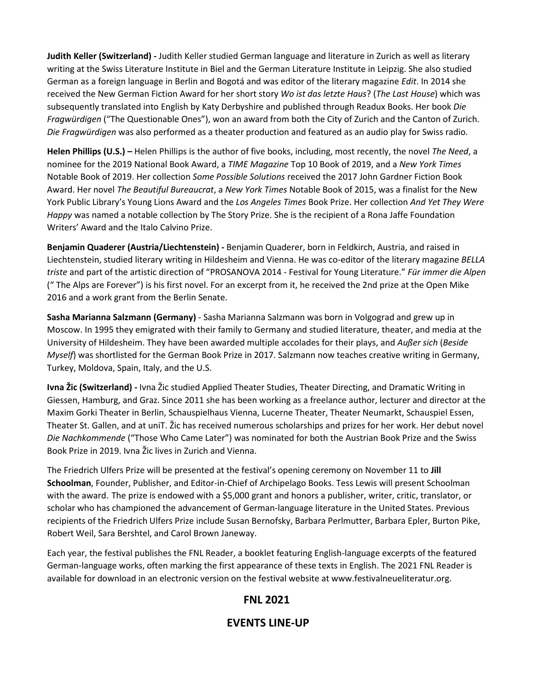**Judith Keller (Switzerland) -** Judith Keller studied German language and literature in Zurich as well as literary writing at the Swiss Literature Institute in Biel and the German Literature Institute in Leipzig. She also studied German as a foreign language in Berlin and Bogotá and was editor of the literary magazine *Edit*. In 2014 she received the New German Fiction Award for her short story *Wo ist das letzte Haus*? (*The Last House*) which was subsequently translated into English by Katy Derbyshire and published through Readux Books. Her book *Die Fragwürdigen* ("The Questionable Ones"), won an award from both the City of Zurich and the Canton of Zurich. *Die Fragwürdigen* was also performed as a theater production and featured as an audio play for Swiss radio.

**Helen Phillips (U.S.) –** Helen Phillips is the author of five books, including, most recently, the novel *The Need*, a nominee for the 2019 National Book Award, a *TIME Magazine* Top 10 Book of 2019, and a *New York Times* Notable Book of 2019. Her collection *Some Possible Solutions* received the 2017 John Gardner Fiction Book Award. Her novel *The Beautiful Bureaucrat*, a *New York Times* Notable Book of 2015, was a finalist for the New York Public Library's Young Lions Award and the *Los Angeles Times* Book Prize. Her collection *And Yet They Were Happy* was named a notable collection by The Story Prize. She is the recipient of a Rona Jaffe Foundation Writers' Award and the Italo Calvino Prize.

**Benjamin Quaderer (Austria/Liechtenstein) -** Benjamin Quaderer, born in Feldkirch, Austria, and raised in Liechtenstein, studied literary writing in Hildesheim and Vienna. He was co-editor of the literary magazine *BELLA triste* and part of the artistic direction of "PROSANOVA 2014 - Festival for Young Literature." *Für immer die Alpen* (" The Alps are Forever") is his first novel. For an excerpt from it, he received the 2nd prize at the Open Mike 2016 and a work grant from the Berlin Senate.

**Sasha Marianna Salzmann (Germany)** - Sasha Marianna Salzmann was born in Volgograd and grew up in Moscow. In 1995 they emigrated with their family to Germany and studied literature, theater, and media at the University of Hildesheim. They have been awarded multiple accolades for their plays, and *Außer sich* (*Beside Myself*) was shortlisted for the German Book Prize in 2017. Salzmann now teaches creative writing in Germany, Turkey, Moldova, Spain, Italy, and the U.S.

**Ivna Žic (Switzerland) -** Ivna Žic studied Applied Theater Studies, Theater Directing, and Dramatic Writing in Giessen, Hamburg, and Graz. Since 2011 she has been working as a freelance author, lecturer and director at the Maxim Gorki Theater in Berlin, Schauspielhaus Vienna, Lucerne Theater, Theater Neumarkt, Schauspiel Essen, Theater St. Gallen, and at uniT. Žic has received numerous scholarships and prizes for her work. Her debut novel *Die Nachkommende* ("Those Who Came Later") was nominated for both the Austrian Book Prize and the Swiss Book Prize in 2019. Ivna Žic lives in Zurich and Vienna.

The Friedrich Ulfers Prize will be presented at the festival's opening ceremony on November 11 to **Jill Schoolman**, Founder, Publisher, and Editor-in-Chief of Archipelago Books. Tess Lewis will present Schoolman with the award. The prize is endowed with a \$5,000 grant and honors a publisher, writer, critic, translator, or scholar who has championed the advancement of German-language literature in the United States. Previous recipients of the Friedrich Ulfers Prize include Susan Bernofsky, Barbara Perlmutter, Barbara Epler, Burton Pike, Robert Weil, Sara Bershtel, and Carol Brown Janeway.

Each year, the festival publishes the FNL Reader, a booklet featuring English-language excerpts of the featured German-language works, often marking the first appearance of these texts in English. The 2021 FNL Reader is available for download in an electronic version on the festival website at www.festivalneueliteratur.org.

# **FNL 2021**

# **EVENTS LINE-UP**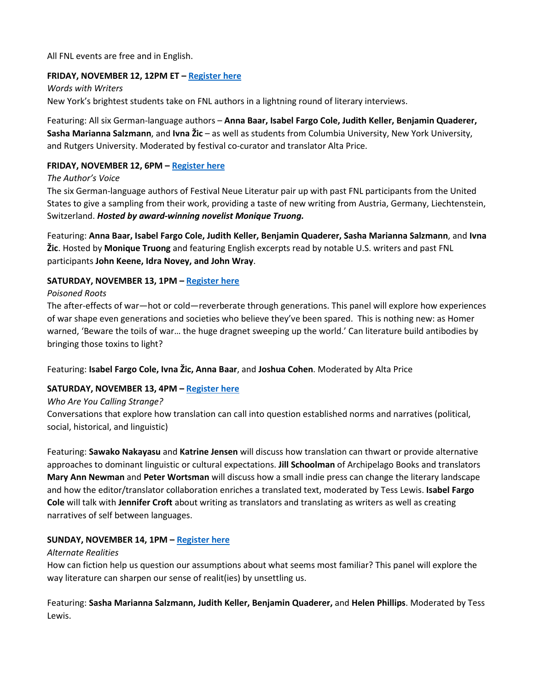All FNL events are free and in English.

### **FRIDAY, NOVEMBER 12, 12PM ET – [Register here](https://www.eventbrite.com/e/words-with-writers-tickets-196563987177?aff=ebdsoporgprofile)**

*Words with Writers* New York's brightest students take on FNL authors in a lightning round of literary interviews.

Featuring: All six German-language authors – **Anna Baar, Isabel Fargo Cole, Judith Keller, Benjamin Quaderer, Sasha Marianna Salzmann**, and **Ivna Žic** – as well as students from Columbia University, New York University, and Rutgers University. Moderated by festival co-curator and translator Alta Price.

## **FRIDAY, NOVEMBER 12, 6PM – [Register here](https://www.eventbrite.com/e/the-authors-voice-tickets-196575190687?aff=ebdsoporgprofile)**

*The Author's Voice*

The six German-language authors of Festival Neue Literatur pair up with past FNL participants from the United States to give a sampling from their work, providing a taste of new writing from Austria, Germany, Liechtenstein, Switzerland. *Hosted by award-winning novelist Monique Truong.*

Featuring: **Anna Baar, Isabel Fargo Cole, Judith Keller, Benjamin Quaderer, Sasha Marianna Salzmann**, and **Ivna Žic**. Hosted by **Monique Truong** and featuring English excerpts read by notable U.S. writers and past FNL participants **John Keene, Idra Novey, and John Wray**.

#### **SATURDAY, NOVEMBER 13, 1PM – [Register here](https://www.eventbrite.com/e/poisoned-roots-tickets-196586705127?aff=ebdsoporgprofile)**

#### *Poisoned Roots*

The after-effects of war—hot or cold—reverberate through generations. This panel will explore how experiences of war shape even generations and societies who believe they've been spared. This is nothing new: as Homer warned, 'Beware the toils of war… the huge dragnet sweeping up the world.' Can literature build antibodies by bringing those toxins to light?

Featuring: **Isabel Fargo Cole, Ivna Žic, Anna Baar**, and **Joshua Cohen**. Moderated by Alta Price

### **SATURDAY, NOVEMBER 13, 4PM – [Register here](https://www.eventbrite.com/e/who-are-you-calling-strange-tickets-196613415017?aff=ebdsoporgprofile)**

*Who Are You Calling Strange?*

Conversations that explore how translation can call into question established norms and narratives (political, social, historical, and linguistic)

Featuring: **Sawako Nakayasu** and **Katrine Jensen** will discuss how translation can thwart or provide alternative approaches to dominant linguistic or cultural expectations. **Jill Schoolman** of Archipelago Books and translators **Mary Ann Newman** and **Peter Wortsman** will discuss how a small indie press can change the literary landscape and how the editor/translator collaboration enriches a translated text, moderated by Tess Lewis. **Isabel Fargo Cole** will talk with **Jennifer Croft** about writing as translators and translating as writers as well as creating narratives of self between languages.

#### **SUNDAY, NOVEMBER 14, 1PM – [Register here](https://www.eventbrite.com/e/alternate-realities-tickets-196602542497?aff=ebdsoporgprofile)**

#### *Alternate Realities*

How can fiction help us question our assumptions about what seems most familiar? This panel will explore the way literature can sharpen our sense of realit(ies) by unsettling us.

Featuring: **Sasha Marianna Salzmann, Judith Keller, Benjamin Quaderer,** and **Helen Phillips**. Moderated by Tess Lewis.